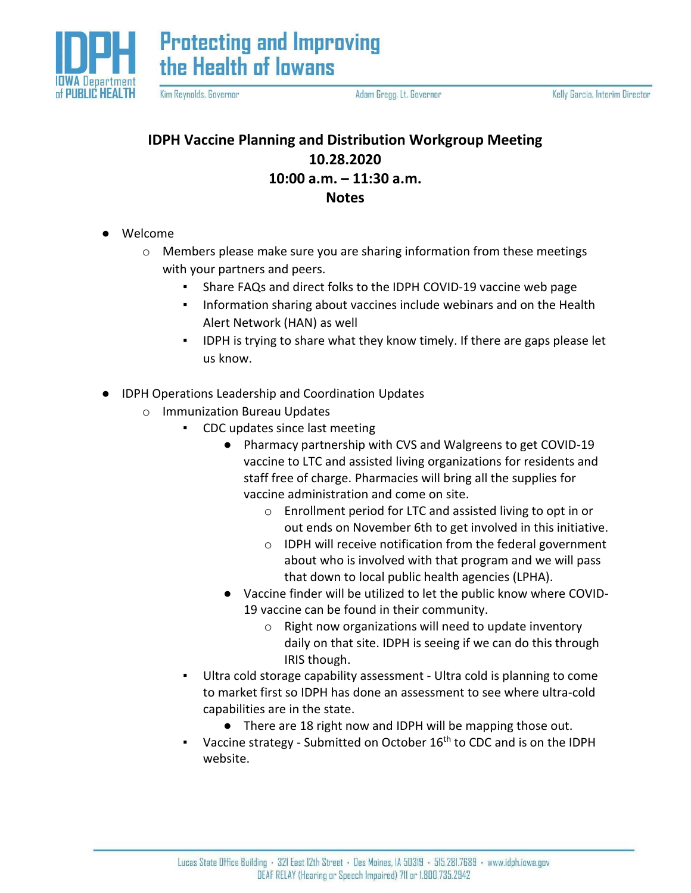

**Protecting and Improving** the Health of lowans

Kim Reynolds, Governor

Adam Gregg, Lt. Governor

## **IDPH Vaccine Planning and Distribution Workgroup Meeting 10.28.2020 10:00 a.m. – 11:30 a.m. Notes**

- Welcome
	- o Members please make sure you are sharing information from these meetings with your partners and peers.
		- Share FAQs and direct folks to the IDPH COVID-19 vaccine web page
		- Information sharing about vaccines include webinars and on the Health Alert Network (HAN) as well
		- IDPH is trying to share what they know timely. If there are gaps please let us know.
- IDPH Operations Leadership and Coordination Updates
	- o Immunization Bureau Updates
		- CDC updates since last meeting
			- Pharmacy partnership with CVS and Walgreens to get COVID-19 vaccine to LTC and assisted living organizations for residents and staff free of charge. Pharmacies will bring all the supplies for vaccine administration and come on site.
				- o Enrollment period for LTC and assisted living to opt in or out ends on November 6th to get involved in this initiative.
				- o IDPH will receive notification from the federal government about who is involved with that program and we will pass that down to local public health agencies (LPHA).
			- Vaccine finder will be utilized to let the public know where COVID-19 vaccine can be found in their community.
				- o Right now organizations will need to update inventory daily on that site. IDPH is seeing if we can do this through IRIS though.
		- Ultra cold storage capability assessment Ultra cold is planning to come to market first so IDPH has done an assessment to see where ultra-cold capabilities are in the state.
			- There are 18 right now and IDPH will be mapping those out.
		- Vaccine strategy Submitted on October  $16<sup>th</sup>$  to CDC and is on the IDPH website.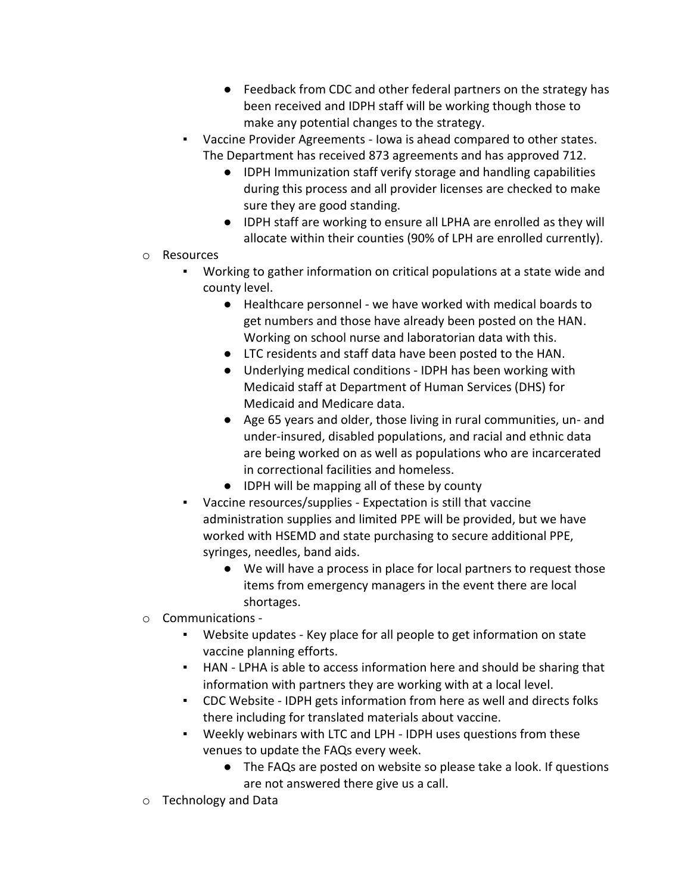- Feedback from CDC and other federal partners on the strategy has been received and IDPH staff will be working though those to make any potential changes to the strategy.
- Vaccine Provider Agreements Iowa is ahead compared to other states. The Department has received 873 agreements and has approved 712.
	- IDPH Immunization staff verify storage and handling capabilities during this process and all provider licenses are checked to make sure they are good standing.
	- IDPH staff are working to ensure all LPHA are enrolled as they will allocate within their counties (90% of LPH are enrolled currently).
- o Resources
	- Working to gather information on critical populations at a state wide and county level.
		- Healthcare personnel we have worked with medical boards to get numbers and those have already been posted on the HAN. Working on school nurse and laboratorian data with this.
		- LTC residents and staff data have been posted to the HAN.
		- Underlying medical conditions IDPH has been working with Medicaid staff at Department of Human Services (DHS) for Medicaid and Medicare data.
		- Age 65 years and older, those living in rural communities, un- and under-insured, disabled populations, and racial and ethnic data are being worked on as well as populations who are incarcerated in correctional facilities and homeless.
		- IDPH will be mapping all of these by county
	- Vaccine resources/supplies Expectation is still that vaccine administration supplies and limited PPE will be provided, but we have worked with HSEMD and state purchasing to secure additional PPE, syringes, needles, band aids.
		- We will have a process in place for local partners to request those items from emergency managers in the event there are local shortages.
- o Communications
	- Website updates Key place for all people to get information on state vaccine planning efforts.
	- HAN LPHA is able to access information here and should be sharing that information with partners they are working with at a local level.
	- CDC Website IDPH gets information from here as well and directs folks there including for translated materials about vaccine.
	- Weekly webinars with LTC and LPH IDPH uses questions from these venues to update the FAQs every week.
		- The FAQs are posted on website so please take a look. If questions are not answered there give us a call.
- o Technology and Data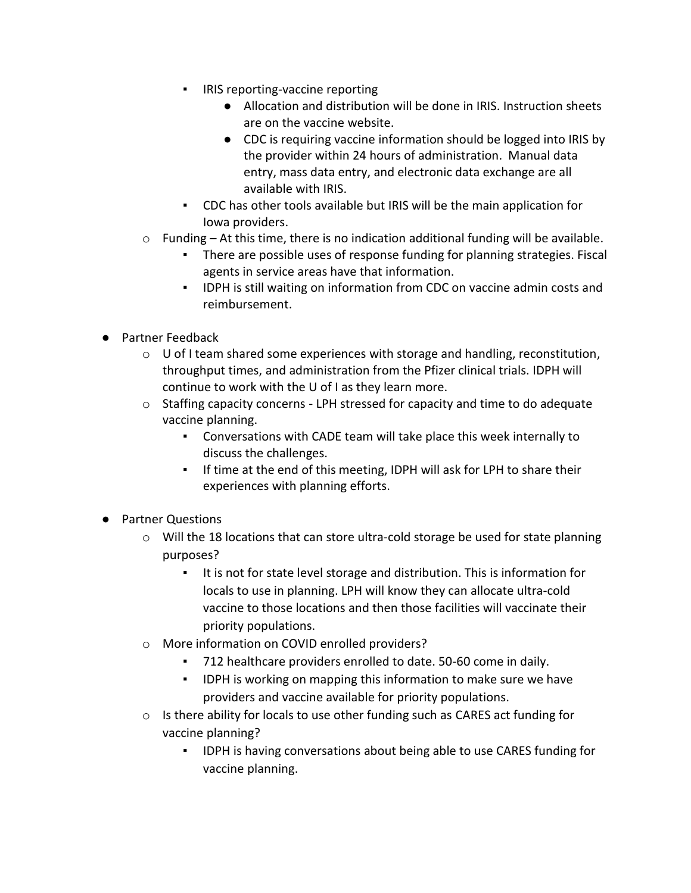- IRIS reporting-vaccine reporting
	- Allocation and distribution will be done in IRIS. Instruction sheets are on the vaccine website.
	- CDC is requiring vaccine information should be logged into IRIS by the provider within 24 hours of administration. Manual data entry, mass data entry, and electronic data exchange are all available with IRIS.
- CDC has other tools available but IRIS will be the main application for Iowa providers.
- $\circ$  Funding At this time, there is no indication additional funding will be available.
	- There are possible uses of response funding for planning strategies. Fiscal agents in service areas have that information.
	- IDPH is still waiting on information from CDC on vaccine admin costs and reimbursement.
- Partner Feedback
	- o U of I team shared some experiences with storage and handling, reconstitution, throughput times, and administration from the Pfizer clinical trials. IDPH will continue to work with the U of I as they learn more.
	- o Staffing capacity concerns LPH stressed for capacity and time to do adequate vaccine planning.
		- Conversations with CADE team will take place this week internally to discuss the challenges.
		- If time at the end of this meeting, IDPH will ask for LPH to share their experiences with planning efforts.
- Partner Questions
	- $\circ$  Will the 18 locations that can store ultra-cold storage be used for state planning purposes?
		- It is not for state level storage and distribution. This is information for locals to use in planning. LPH will know they can allocate ultra-cold vaccine to those locations and then those facilities will vaccinate their priority populations.
	- o More information on COVID enrolled providers?
		- 712 healthcare providers enrolled to date. 50-60 come in daily.
		- **IDPH is working on mapping this information to make sure we have** providers and vaccine available for priority populations.
	- $\circ$  Is there ability for locals to use other funding such as CARES act funding for vaccine planning?
		- IDPH is having conversations about being able to use CARES funding for vaccine planning.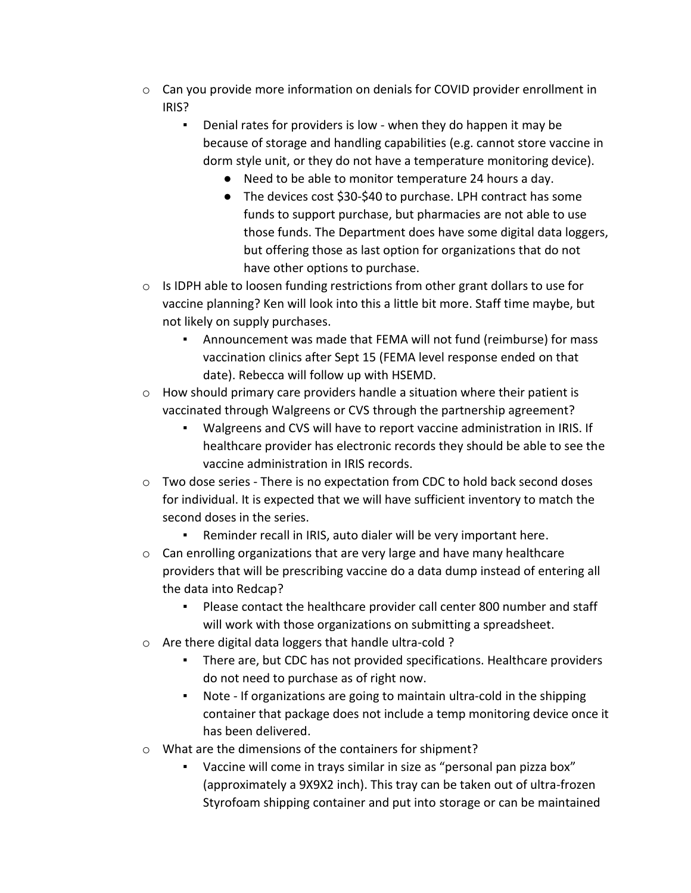- $\circ$  Can you provide more information on denials for COVID provider enrollment in IRIS?
	- Denial rates for providers is low when they do happen it may be because of storage and handling capabilities (e.g. cannot store vaccine in dorm style unit, or they do not have a temperature monitoring device).
		- Need to be able to monitor temperature 24 hours a day.
		- The devices cost \$30-\$40 to purchase. LPH contract has some funds to support purchase, but pharmacies are not able to use those funds. The Department does have some digital data loggers, but offering those as last option for organizations that do not have other options to purchase.
- $\circ$  Is IDPH able to loosen funding restrictions from other grant dollars to use for vaccine planning? Ken will look into this a little bit more. Staff time maybe, but not likely on supply purchases.
	- Announcement was made that FEMA will not fund (reimburse) for mass vaccination clinics after Sept 15 (FEMA level response ended on that date). Rebecca will follow up with HSEMD.
- $\circ$  How should primary care providers handle a situation where their patient is vaccinated through Walgreens or CVS through the partnership agreement?
	- Walgreens and CVS will have to report vaccine administration in IRIS. If healthcare provider has electronic records they should be able to see the vaccine administration in IRIS records.
- $\circ$  Two dose series There is no expectation from CDC to hold back second doses for individual. It is expected that we will have sufficient inventory to match the second doses in the series.
	- Reminder recall in IRIS, auto dialer will be very important here.
- $\circ$  Can enrolling organizations that are very large and have many healthcare providers that will be prescribing vaccine do a data dump instead of entering all the data into Redcap?
	- Please contact the healthcare provider call center 800 number and staff will work with those organizations on submitting a spreadsheet.
- o Are there digital data loggers that handle ultra-cold ?
	- There are, but CDC has not provided specifications. Healthcare providers do not need to purchase as of right now.
	- Note If organizations are going to maintain ultra-cold in the shipping container that package does not include a temp monitoring device once it has been delivered.
- o What are the dimensions of the containers for shipment?
	- Vaccine will come in trays similar in size as "personal pan pizza box" (approximately a 9X9X2 inch). This tray can be taken out of ultra-frozen Styrofoam shipping container and put into storage or can be maintained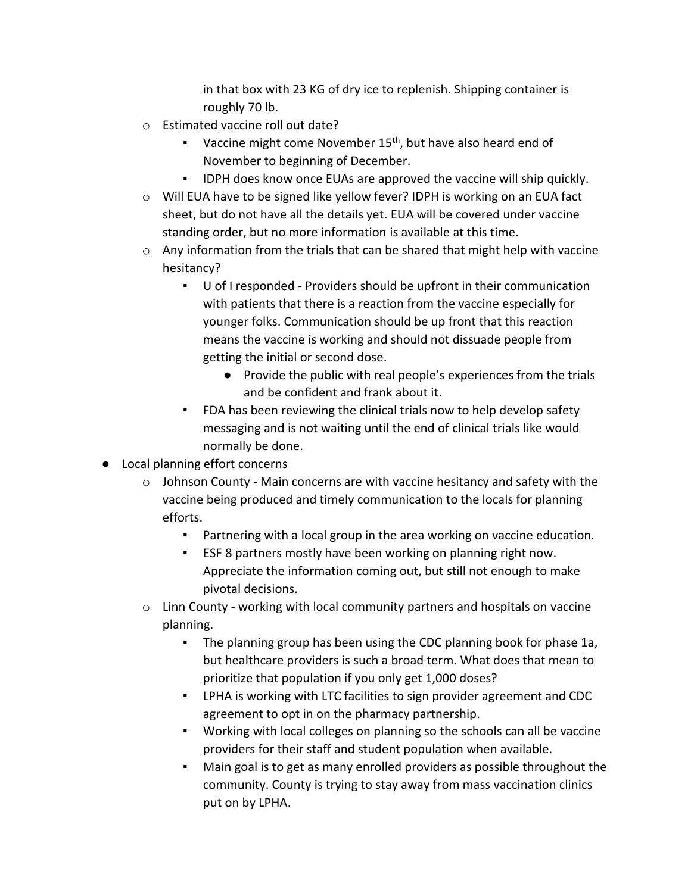in that box with 23 KG of dry ice to replenish. Shipping container is roughly 70 lb.

- o Estimated vaccine roll out date?
	- **•** Vaccine might come November  $15<sup>th</sup>$ , but have also heard end of November to beginning of December.
	- IDPH does know once EUAs are approved the vaccine will ship quickly.
- o Will EUA have to be signed like yellow fever? IDPH is working on an EUA fact sheet, but do not have all the details yet. EUA will be covered under vaccine standing order, but no more information is available at this time.
- o Any information from the trials that can be shared that might help with vaccine hesitancy?
	- U of I responded Providers should be upfront in their communication with patients that there is a reaction from the vaccine especially for younger folks. Communication should be up front that this reaction means the vaccine is working and should not dissuade people from getting the initial or second dose.
		- Provide the public with real people's experiences from the trials and be confident and frank about it.
	- FDA has been reviewing the clinical trials now to help develop safety messaging and is not waiting until the end of clinical trials like would normally be done.
- Local planning effort concerns
	- $\circ$  Johnson County Main concerns are with vaccine hesitancy and safety with the vaccine being produced and timely communication to the locals for planning efforts.
		- Partnering with a local group in the area working on vaccine education.
		- ESF 8 partners mostly have been working on planning right now. Appreciate the information coming out, but still not enough to make pivotal decisions.
	- $\circ$  Linn County working with local community partners and hospitals on vaccine planning.
		- The planning group has been using the CDC planning book for phase 1a, but healthcare providers is such a broad term. What does that mean to prioritize that population if you only get 1,000 doses?
		- LPHA is working with LTC facilities to sign provider agreement and CDC agreement to opt in on the pharmacy partnership.
		- Working with local colleges on planning so the schools can all be vaccine providers for their staff and student population when available.
		- Main goal is to get as many enrolled providers as possible throughout the community. County is trying to stay away from mass vaccination clinics put on by LPHA.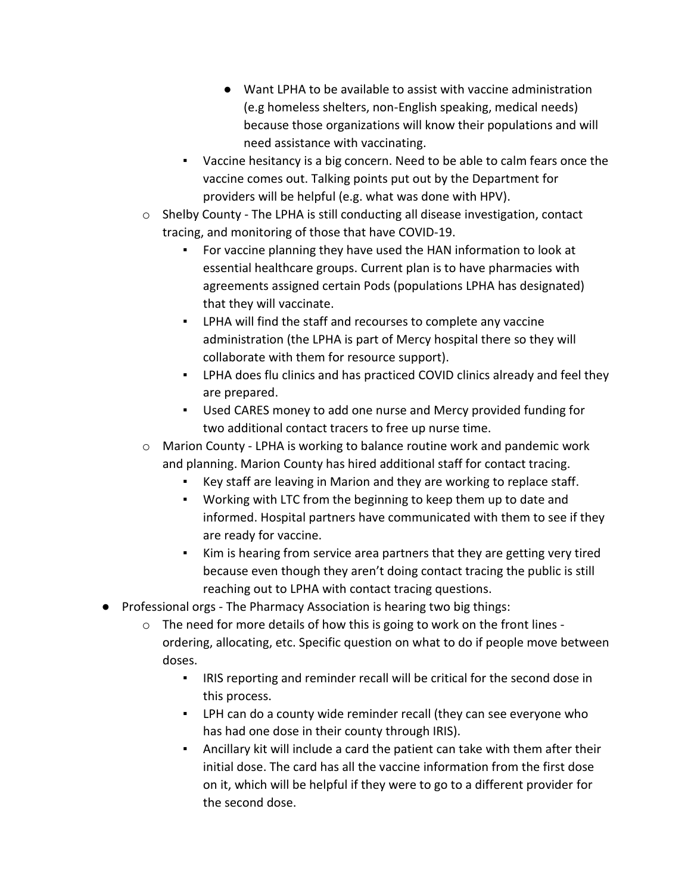- Want LPHA to be available to assist with vaccine administration (e.g homeless shelters, non-English speaking, medical needs) because those organizations will know their populations and will need assistance with vaccinating.
- Vaccine hesitancy is a big concern. Need to be able to calm fears once the vaccine comes out. Talking points put out by the Department for providers will be helpful (e.g. what was done with HPV).
- $\circ$  Shelby County The LPHA is still conducting all disease investigation, contact tracing, and monitoring of those that have COVID-19.
	- For vaccine planning they have used the HAN information to look at essential healthcare groups. Current plan is to have pharmacies with agreements assigned certain Pods (populations LPHA has designated) that they will vaccinate.
	- LPHA will find the staff and recourses to complete any vaccine administration (the LPHA is part of Mercy hospital there so they will collaborate with them for resource support).
	- LPHA does flu clinics and has practiced COVID clinics already and feel they are prepared.
	- Used CARES money to add one nurse and Mercy provided funding for two additional contact tracers to free up nurse time.
- o Marion County LPHA is working to balance routine work and pandemic work and planning. Marion County has hired additional staff for contact tracing.
	- Key staff are leaving in Marion and they are working to replace staff.
	- Working with LTC from the beginning to keep them up to date and informed. Hospital partners have communicated with them to see if they are ready for vaccine.
	- Kim is hearing from service area partners that they are getting very tired because even though they aren't doing contact tracing the public is still reaching out to LPHA with contact tracing questions.
- Professional orgs The Pharmacy Association is hearing two big things:
	- $\circ$  The need for more details of how this is going to work on the front lines ordering, allocating, etc. Specific question on what to do if people move between doses.
		- IRIS reporting and reminder recall will be critical for the second dose in this process.
		- LPH can do a county wide reminder recall (they can see everyone who has had one dose in their county through IRIS).
		- Ancillary kit will include a card the patient can take with them after their initial dose. The card has all the vaccine information from the first dose on it, which will be helpful if they were to go to a different provider for the second dose.